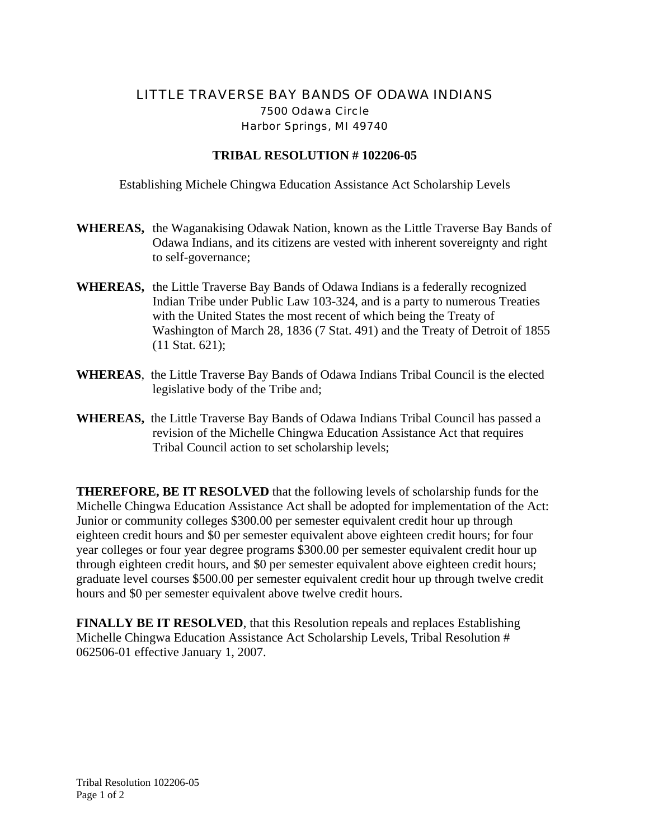## LITTLE TRAVERSE BAY BANDS OF ODAWA INDIANS 7500 Odawa Circle Harbor Springs, MI 49740

## **TRIBAL RESOLUTION # 102206-05**

Establishing Michele Chingwa Education Assistance Act Scholarship Levels

- **WHEREAS,** the Waganakising Odawak Nation, known as the Little Traverse Bay Bands of Odawa Indians, and its citizens are vested with inherent sovereignty and right to self-governance;
- **WHEREAS,** the Little Traverse Bay Bands of Odawa Indians is a federally recognized Indian Tribe under Public Law 103-324, and is a party to numerous Treaties with the United States the most recent of which being the Treaty of Washington of March 28, 1836 (7 Stat. 491) and the Treaty of Detroit of 1855 (11 Stat. 621);
- **WHEREAS**, the Little Traverse Bay Bands of Odawa Indians Tribal Council is the elected legislative body of the Tribe and;
- **WHEREAS,** the Little Traverse Bay Bands of Odawa Indians Tribal Council has passed a revision of the Michelle Chingwa Education Assistance Act that requires Tribal Council action to set scholarship levels;

**THEREFORE, BE IT RESOLVED** that the following levels of scholarship funds for the Michelle Chingwa Education Assistance Act shall be adopted for implementation of the Act: Junior or community colleges \$300.00 per semester equivalent credit hour up through eighteen credit hours and \$0 per semester equivalent above eighteen credit hours; for four year colleges or four year degree programs \$300.00 per semester equivalent credit hour up through eighteen credit hours, and \$0 per semester equivalent above eighteen credit hours; graduate level courses \$500.00 per semester equivalent credit hour up through twelve credit hours and \$0 per semester equivalent above twelve credit hours.

**FINALLY BE IT RESOLVED**, that this Resolution repeals and replaces Establishing Michelle Chingwa Education Assistance Act Scholarship Levels, Tribal Resolution # 062506-01 effective January 1, 2007.